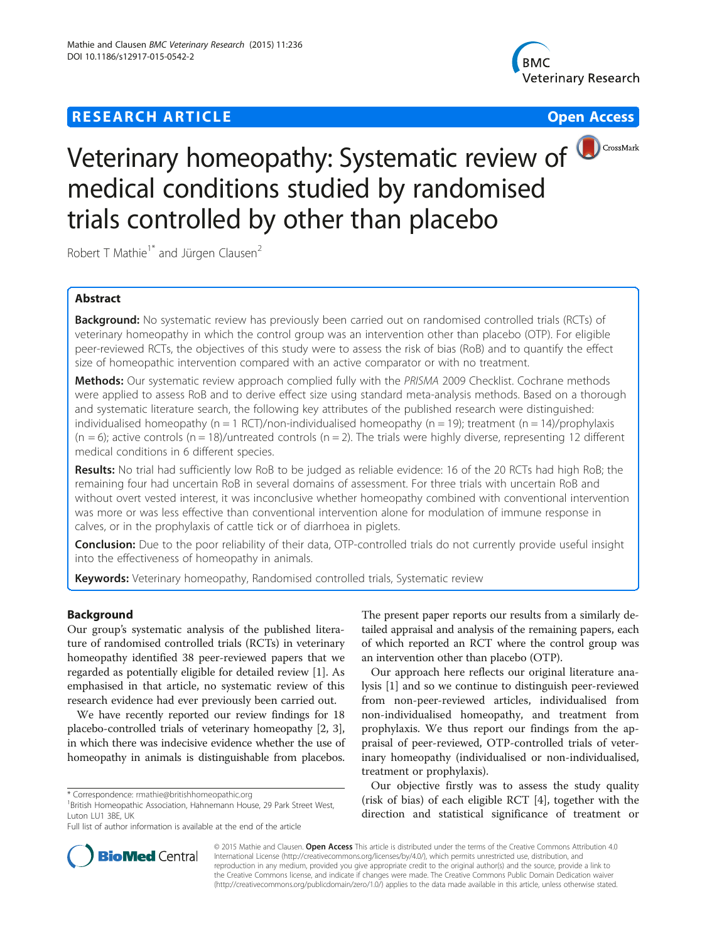## **RESEARCH ARTICLE Example 2018 12:30 THE Open Access**





# Veterinary homeopathy: Systematic review of **OCCOSSMark** medical conditions studied by randomised trials controlled by other than placebo

Robert T Mathie<sup>1\*</sup> and Jürgen Clausen<sup>2</sup>

## Abstract

Background: No systematic review has previously been carried out on randomised controlled trials (RCTs) of veterinary homeopathy in which the control group was an intervention other than placebo (OTP). For eligible peer-reviewed RCTs, the objectives of this study were to assess the risk of bias (RoB) and to quantify the effect size of homeopathic intervention compared with an active comparator or with no treatment.

Methods: Our systematic review approach complied fully with the PRISMA 2009 Checklist. Cochrane methods were applied to assess RoB and to derive effect size using standard meta-analysis methods. Based on a thorough and systematic literature search, the following key attributes of the published research were distinguished: individualised homeopathy (n = 1 RCT)/non-individualised homeopathy (n = 19); treatment (n = 14)/prophylaxis  $(n = 6)$ ; active controls  $(n = 18)$ /untreated controls  $(n = 2)$ . The trials were highly diverse, representing 12 different medical conditions in 6 different species.

Results: No trial had sufficiently low RoB to be judged as reliable evidence: 16 of the 20 RCTs had high RoB; the remaining four had uncertain RoB in several domains of assessment. For three trials with uncertain RoB and without overt vested interest, it was inconclusive whether homeopathy combined with conventional intervention was more or was less effective than conventional intervention alone for modulation of immune response in calves, or in the prophylaxis of cattle tick or of diarrhoea in piglets.

Conclusion: Due to the poor reliability of their data, OTP-controlled trials do not currently provide useful insight into the effectiveness of homeopathy in animals.

Keywords: Veterinary homeopathy, Randomised controlled trials, Systematic review

## Background

Our group's systematic analysis of the published literature of randomised controlled trials (RCTs) in veterinary homeopathy identified 38 peer-reviewed papers that we regarded as potentially eligible for detailed review [[1](#page-14-0)]. As emphasised in that article, no systematic review of this research evidence had ever previously been carried out.

We have recently reported our review findings for 18 placebo-controlled trials of veterinary homeopathy [\[2, 3](#page-14-0)], in which there was indecisive evidence whether the use of homeopathy in animals is distinguishable from placebos.

The present paper reports our results from a similarly detailed appraisal and analysis of the remaining papers, each of which reported an RCT where the control group was an intervention other than placebo (OTP).

Our approach here reflects our original literature analysis [\[1\]](#page-14-0) and so we continue to distinguish peer-reviewed from non-peer-reviewed articles, individualised from non-individualised homeopathy, and treatment from prophylaxis. We thus report our findings from the appraisal of peer-reviewed, OTP-controlled trials of veterinary homeopathy (individualised or non-individualised, treatment or prophylaxis).

Our objective firstly was to assess the study quality (risk of bias) of each eligible RCT [[4\]](#page-14-0), together with the direction and statistical significance of treatment or



© 2015 Mathie and Clausen. Open Access This article is distributed under the terms of the Creative Commons Attribution 4.0 International License [\(http://creativecommons.org/licenses/by/4.0/](http://creativecommons.org/licenses/by/4.0/)), which permits unrestricted use, distribution, and reproduction in any medium, provided you give appropriate credit to the original author(s) and the source, provide a link to the Creative Commons license, and indicate if changes were made. The Creative Commons Public Domain Dedication waiver [\(http://creativecommons.org/publicdomain/zero/1.0/](http://creativecommons.org/publicdomain/zero/1.0/)) applies to the data made available in this article, unless otherwise stated.

<sup>\*</sup> Correspondence: [rmathie@britishhomeopathic.org](mailto:rmathie@britishhomeopathic.org) <sup>1</sup>

<sup>&</sup>lt;sup>1</sup> British Homeopathic Association, Hahnemann House, 29 Park Street West, Luton LU1 3BE, UK

Full list of author information is available at the end of the article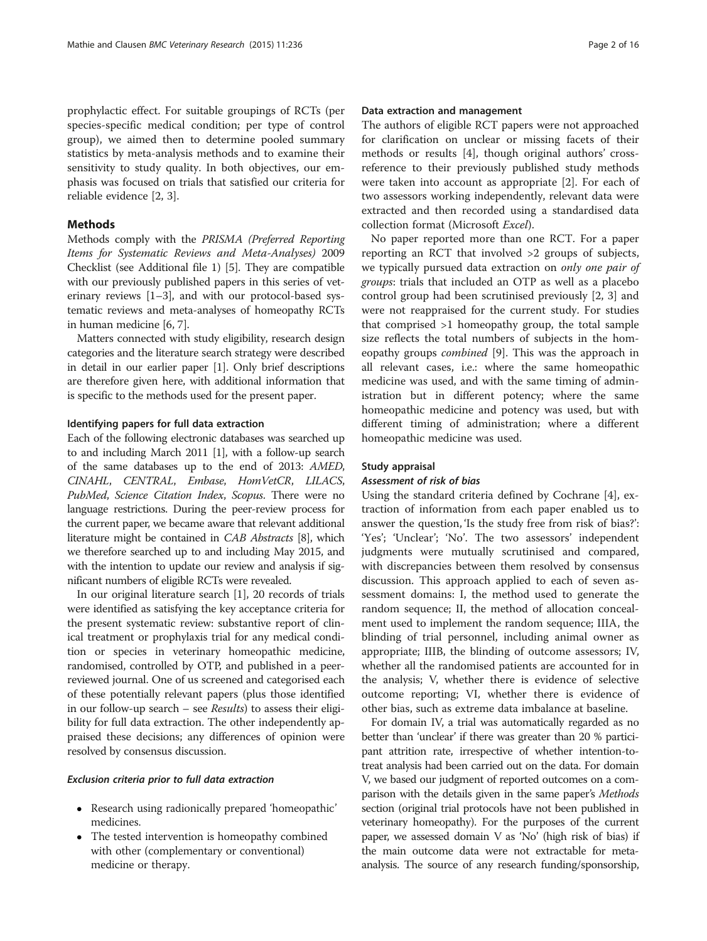prophylactic effect. For suitable groupings of RCTs (per species-specific medical condition; per type of control group), we aimed then to determine pooled summary statistics by meta-analysis methods and to examine their sensitivity to study quality. In both objectives, our emphasis was focused on trials that satisfied our criteria for reliable evidence [[2, 3\]](#page-14-0).

## Methods

Methods comply with the PRISMA (Preferred Reporting Items for Systematic Reviews and Meta-Analyses) 2009 Checklist (see Additional file [1\)](#page-14-0) [[5\]](#page-14-0). They are compatible with our previously published papers in this series of veterinary reviews [\[1](#page-14-0)–[3\]](#page-14-0), and with our protocol-based systematic reviews and meta-analyses of homeopathy RCTs in human medicine [\[6, 7](#page-14-0)].

Matters connected with study eligibility, research design categories and the literature search strategy were described in detail in our earlier paper [[1](#page-14-0)]. Only brief descriptions are therefore given here, with additional information that is specific to the methods used for the present paper.

#### Identifying papers for full data extraction

Each of the following electronic databases was searched up to and including March 2011 [\[1\]](#page-14-0), with a follow-up search of the same databases up to the end of 2013: AMED, CINAHL, CENTRAL, Embase, HomVetCR, LILACS, PubMed, Science Citation Index, Scopus. There were no language restrictions. During the peer-review process for the current paper, we became aware that relevant additional literature might be contained in CAB Abstracts [[8](#page-14-0)], which we therefore searched up to and including May 2015, and with the intention to update our review and analysis if significant numbers of eligible RCTs were revealed.

In our original literature search [[1\]](#page-14-0), 20 records of trials were identified as satisfying the key acceptance criteria for the present systematic review: substantive report of clinical treatment or prophylaxis trial for any medical condition or species in veterinary homeopathic medicine, randomised, controlled by OTP, and published in a peerreviewed journal. One of us screened and categorised each of these potentially relevant papers (plus those identified in our follow-up search – see Results) to assess their eligibility for full data extraction. The other independently appraised these decisions; any differences of opinion were resolved by consensus discussion.

#### Exclusion criteria prior to full data extraction

- Research using radionically prepared 'homeopathic' medicines.
- The tested intervention is homeopathy combined with other (complementary or conventional) medicine or therapy.

#### Data extraction and management

The authors of eligible RCT papers were not approached for clarification on unclear or missing facets of their methods or results [[4\]](#page-14-0), though original authors' crossreference to their previously published study methods were taken into account as appropriate [\[2](#page-14-0)]. For each of two assessors working independently, relevant data were extracted and then recorded using a standardised data collection format (Microsoft Excel).

No paper reported more than one RCT. For a paper reporting an RCT that involved >2 groups of subjects, we typically pursued data extraction on only one pair of groups: trials that included an OTP as well as a placebo control group had been scrutinised previously [[2, 3\]](#page-14-0) and were not reappraised for the current study. For studies that comprised >1 homeopathy group, the total sample size reflects the total numbers of subjects in the homeopathy groups combined [[9\]](#page-14-0). This was the approach in all relevant cases, i.e.: where the same homeopathic medicine was used, and with the same timing of administration but in different potency; where the same homeopathic medicine and potency was used, but with different timing of administration; where a different homeopathic medicine was used.

#### Study appraisal

## Assessment of risk of bias

Using the standard criteria defined by Cochrane [\[4\]](#page-14-0), extraction of information from each paper enabled us to answer the question, 'Is the study free from risk of bias?': 'Yes'; 'Unclear'; 'No'. The two assessors' independent judgments were mutually scrutinised and compared, with discrepancies between them resolved by consensus discussion. This approach applied to each of seven assessment domains: I, the method used to generate the random sequence; II, the method of allocation concealment used to implement the random sequence; IIIA, the blinding of trial personnel, including animal owner as appropriate; IIIB, the blinding of outcome assessors; IV, whether all the randomised patients are accounted for in the analysis; V, whether there is evidence of selective outcome reporting; VI, whether there is evidence of other bias, such as extreme data imbalance at baseline.

For domain IV, a trial was automatically regarded as no better than 'unclear' if there was greater than 20 % participant attrition rate, irrespective of whether intention-totreat analysis had been carried out on the data. For domain V, we based our judgment of reported outcomes on a comparison with the details given in the same paper's Methods section (original trial protocols have not been published in veterinary homeopathy). For the purposes of the current paper, we assessed domain V as 'No' (high risk of bias) if the main outcome data were not extractable for metaanalysis. The source of any research funding/sponsorship,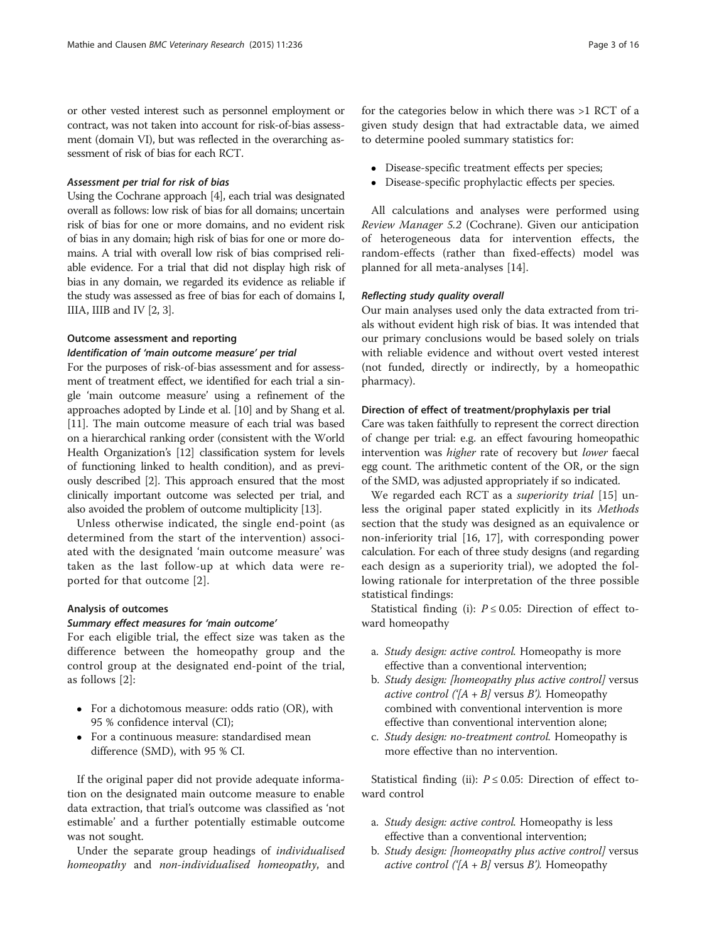or other vested interest such as personnel employment or contract, was not taken into account for risk-of-bias assessment (domain VI), but was reflected in the overarching assessment of risk of bias for each RCT.

#### Assessment per trial for risk of bias

Using the Cochrane approach [\[4\]](#page-14-0), each trial was designated overall as follows: low risk of bias for all domains; uncertain risk of bias for one or more domains, and no evident risk of bias in any domain; high risk of bias for one or more domains. A trial with overall low risk of bias comprised reliable evidence. For a trial that did not display high risk of bias in any domain, we regarded its evidence as reliable if the study was assessed as free of bias for each of domains I, IIIA, IIIB and IV [[2](#page-14-0), [3\]](#page-14-0).

## Outcome assessment and reporting

## Identification of 'main outcome measure' per trial

For the purposes of risk-of-bias assessment and for assessment of treatment effect, we identified for each trial a single 'main outcome measure' using a refinement of the approaches adopted by Linde et al. [\[10\]](#page-14-0) and by Shang et al. [[11](#page-14-0)]. The main outcome measure of each trial was based on a hierarchical ranking order (consistent with the World Health Organization's [\[12\]](#page-14-0) classification system for levels of functioning linked to health condition), and as previously described [\[2\]](#page-14-0). This approach ensured that the most clinically important outcome was selected per trial, and also avoided the problem of outcome multiplicity [[13](#page-14-0)].

Unless otherwise indicated, the single end-point (as determined from the start of the intervention) associated with the designated 'main outcome measure' was taken as the last follow-up at which data were reported for that outcome [[2\]](#page-14-0).

## Analysis of outcomes

#### Summary effect measures for 'main outcome'

For each eligible trial, the effect size was taken as the difference between the homeopathy group and the control group at the designated end-point of the trial, as follows [[2\]](#page-14-0):

- For a dichotomous measure: odds ratio (OR), with 95 % confidence interval (CI);
- For a continuous measure: standardised mean difference (SMD), with 95 % CI.

If the original paper did not provide adequate information on the designated main outcome measure to enable data extraction, that trial's outcome was classified as 'not estimable' and a further potentially estimable outcome was not sought.

Under the separate group headings of individualised homeopathy and non-individualised homeopathy, and

- Disease-specific treatment effects per species;<br>• Disease-specific prophylactic effects per speci-
- Disease-specific prophylactic effects per species.

All calculations and analyses were performed using Review Manager 5.2 (Cochrane). Given our anticipation of heterogeneous data for intervention effects, the random-effects (rather than fixed-effects) model was planned for all meta-analyses [\[14](#page-14-0)].

## Reflecting study quality overall

Our main analyses used only the data extracted from trials without evident high risk of bias. It was intended that our primary conclusions would be based solely on trials with reliable evidence and without overt vested interest (not funded, directly or indirectly, by a homeopathic pharmacy).

#### Direction of effect of treatment/prophylaxis per trial

Care was taken faithfully to represent the correct direction of change per trial: e.g. an effect favouring homeopathic intervention was higher rate of recovery but lower faecal egg count. The arithmetic content of the OR, or the sign of the SMD, was adjusted appropriately if so indicated.

We regarded each RCT as a *superiority trial* [\[15](#page-14-0)] unless the original paper stated explicitly in its Methods section that the study was designed as an equivalence or non-inferiority trial [[16](#page-14-0), [17\]](#page-14-0), with corresponding power calculation. For each of three study designs (and regarding each design as a superiority trial), we adopted the following rationale for interpretation of the three possible statistical findings:

Statistical finding (i):  $P \le 0.05$ : Direction of effect toward homeopathy

- a. Study design: active control. Homeopathy is more effective than a conventional intervention;
- b. Study design: [homeopathy plus active control] versus *active control* (' $[A + B]$  versus *B*'). Homeopathy combined with conventional intervention is more effective than conventional intervention alone;
- c. Study design: no-treatment control. Homeopathy is more effective than no intervention.

Statistical finding (ii):  $P \le 0.05$ : Direction of effect toward control

- a. Study design: active control. Homeopathy is less effective than a conventional intervention;
- b. Study design: [homeopathy plus active control] versus active control (' $[A + B]$  versus B'). Homeopathy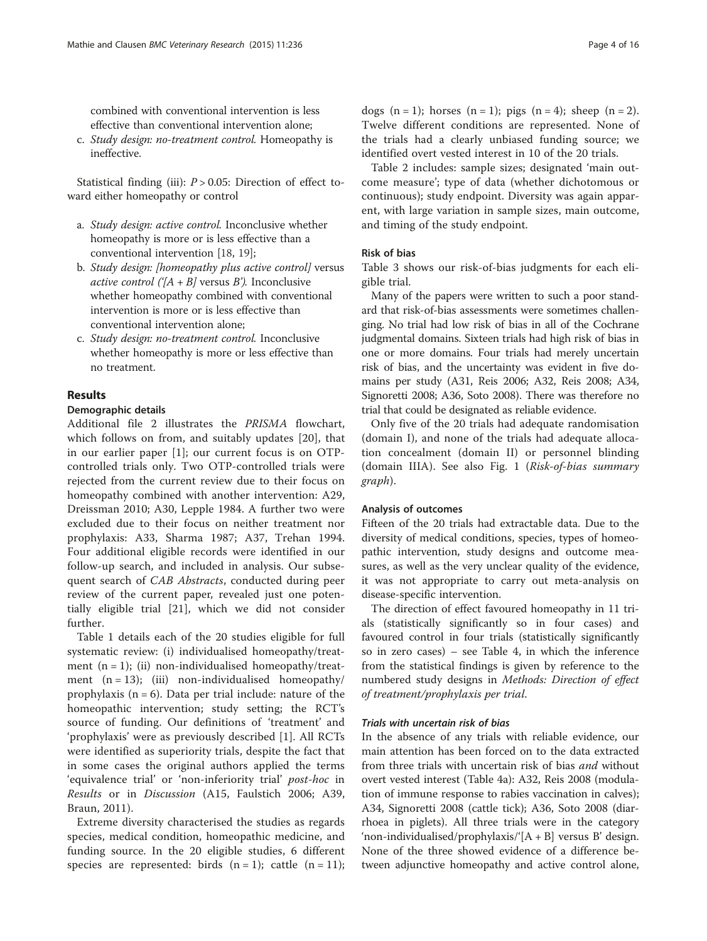combined with conventional intervention is less effective than conventional intervention alone;

c. Study design: no-treatment control. Homeopathy is ineffective.

Statistical finding (iii):  $P > 0.05$ : Direction of effect toward either homeopathy or control

- a. Study design: active control. Inconclusive whether homeopathy is more or is less effective than a conventional intervention [\[18,](#page-14-0) [19](#page-14-0)];
- b. Study design: [homeopathy plus active control] versus *active control*  $(|A + B|)$  versus B'). Inconclusive whether homeopathy combined with conventional intervention is more or is less effective than conventional intervention alone;
- c. Study design: no-treatment control. Inconclusive whether homeopathy is more or less effective than no treatment.

## Results

## Demographic details

Additional file [2](#page-14-0) illustrates the PRISMA flowchart, which follows on from, and suitably updates [[20\]](#page-14-0), that in our earlier paper [\[1](#page-14-0)]; our current focus is on OTPcontrolled trials only. Two OTP-controlled trials were rejected from the current review due to their focus on homeopathy combined with another intervention: A29, Dreissman 2010; A30, Lepple 1984. A further two were excluded due to their focus on neither treatment nor prophylaxis: A33, Sharma 1987; A37, Trehan 1994. Four additional eligible records were identified in our follow-up search, and included in analysis. Our subsequent search of CAB Abstracts, conducted during peer review of the current paper, revealed just one potentially eligible trial [\[21](#page-14-0)], which we did not consider further.

Table [1](#page-4-0) details each of the 20 studies eligible for full systematic review: (i) individualised homeopathy/treatment  $(n = 1)$ ; (ii) non-individualised homeopathy/treatment  $(n = 13)$ ; (iii) non-individualised homeopathy/ prophylaxis  $(n = 6)$ . Data per trial include: nature of the homeopathic intervention; study setting; the RCT's source of funding. Our definitions of 'treatment' and 'prophylaxis' were as previously described [[1\]](#page-14-0). All RCTs were identified as superiority trials, despite the fact that in some cases the original authors applied the terms 'equivalence trial' or 'non-inferiority trial' post-hoc in Results or in Discussion (A15, Faulstich 2006; A39, Braun, 2011).

Extreme diversity characterised the studies as regards species, medical condition, homeopathic medicine, and funding source. In the 20 eligible studies, 6 different species are represented: birds  $(n = 1)$ ; cattle  $(n = 11)$ ;

dogs  $(n = 1)$ ; horses  $(n = 1)$ ; pigs  $(n = 4)$ ; sheep  $(n = 2)$ . Twelve different conditions are represented. None of the trials had a clearly unbiased funding source; we identified overt vested interest in 10 of the 20 trials.

Table [2](#page-7-0) includes: sample sizes; designated 'main outcome measure'; type of data (whether dichotomous or continuous); study endpoint. Diversity was again apparent, with large variation in sample sizes, main outcome, and timing of the study endpoint.

## Risk of bias

Table [3](#page-10-0) shows our risk-of-bias judgments for each eligible trial.

Many of the papers were written to such a poor standard that risk-of-bias assessments were sometimes challenging. No trial had low risk of bias in all of the Cochrane judgmental domains. Sixteen trials had high risk of bias in one or more domains. Four trials had merely uncertain risk of bias, and the uncertainty was evident in five domains per study (A31, Reis 2006; A32, Reis 2008; A34, Signoretti 2008; A36, Soto 2008). There was therefore no trial that could be designated as reliable evidence.

Only five of the 20 trials had adequate randomisation (domain I), and none of the trials had adequate allocation concealment (domain II) or personnel blinding (domain IIIA). See also Fig. [1](#page-11-0) (Risk-of-bias summary graph).

#### Analysis of outcomes

Fifteen of the 20 trials had extractable data. Due to the diversity of medical conditions, species, types of homeopathic intervention, study designs and outcome measures, as well as the very unclear quality of the evidence, it was not appropriate to carry out meta-analysis on disease-specific intervention.

The direction of effect favoured homeopathy in 11 trials (statistically significantly so in four cases) and favoured control in four trials (statistically significantly so in zero cases) – see Table [4](#page-12-0), in which the inference from the statistical findings is given by reference to the numbered study designs in Methods: Direction of effect of treatment/prophylaxis per trial.

#### Trials with uncertain risk of bias

In the absence of any trials with reliable evidence, our main attention has been forced on to the data extracted from three trials with uncertain risk of bias and without overt vested interest (Table [4a](#page-12-0)): A32, Reis 2008 (modulation of immune response to rabies vaccination in calves); A34, Signoretti 2008 (cattle tick); A36, Soto 2008 (diarrhoea in piglets). All three trials were in the category 'non-individualised/prophylaxis/'[A + B] versus B' design. None of the three showed evidence of a difference between adjunctive homeopathy and active control alone,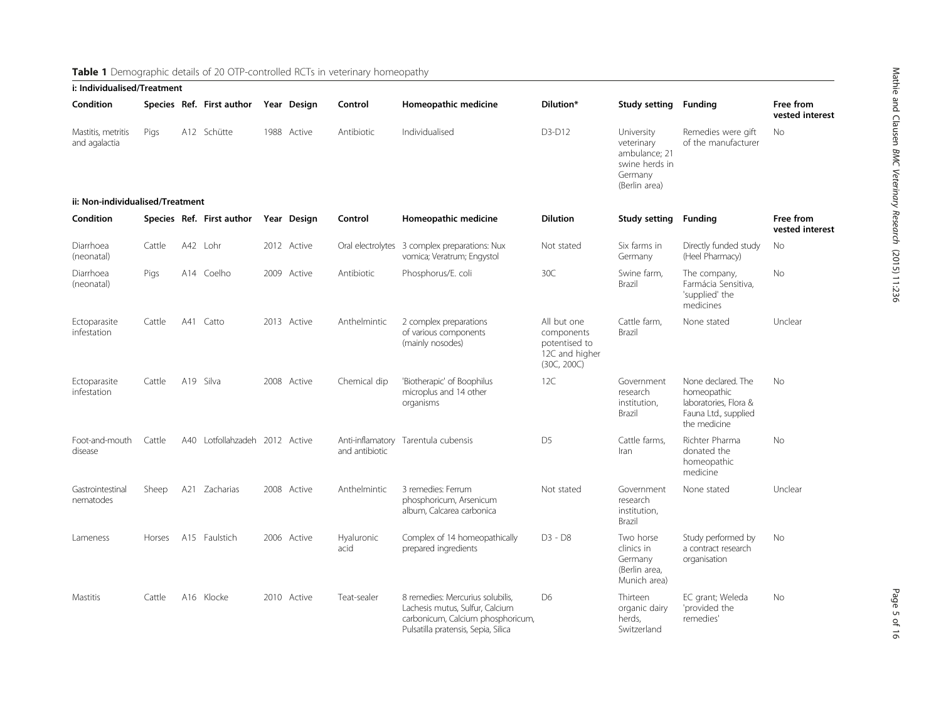<span id="page-4-0"></span>

| i: Individualised/Treatment         |        |     |                            |  |             |                    |                                                                                                                                                 |                                                                             |                                                                                         |                                                                                                    |                              |
|-------------------------------------|--------|-----|----------------------------|--|-------------|--------------------|-------------------------------------------------------------------------------------------------------------------------------------------------|-----------------------------------------------------------------------------|-----------------------------------------------------------------------------------------|----------------------------------------------------------------------------------------------------|------------------------------|
| Condition                           |        |     | Species Ref. First author  |  | Year Design | Control            | Homeopathic medicine                                                                                                                            | Dilution*                                                                   | <b>Study setting</b>                                                                    | Funding                                                                                            | Free from<br>vested interest |
| Mastitis, metritis<br>and agalactia | Pigs   |     | A12 Schütte                |  | 1988 Active | Antibiotic         | Individualised                                                                                                                                  | D3-D12                                                                      | University<br>veterinary<br>ambulance; 21<br>swine herds in<br>Germany<br>(Berlin area) | Remedies were gift<br>of the manufacturer                                                          | <b>No</b>                    |
| ii: Non-individualised/Treatment    |        |     |                            |  |             |                    |                                                                                                                                                 |                                                                             |                                                                                         |                                                                                                    |                              |
| Condition                           |        |     | Species Ref. First author  |  | Year Design | Control            | Homeopathic medicine                                                                                                                            | <b>Dilution</b>                                                             | Study setting                                                                           | Funding                                                                                            | Free from<br>vested interest |
| Diarrhoea<br>(neonatal)             | Cattle |     | A42 Lohr                   |  | 2012 Active |                    | Oral electrolytes 3 complex preparations: Nux<br>vomica; Veratrum; Engystol                                                                     | Not stated                                                                  | Six farms in<br>Germany                                                                 | Directly funded study<br>(Heel Pharmacy)                                                           | No                           |
| Diarrhoea<br>(neonatal)             | Pigs   |     | A14 Coelho                 |  | 2009 Active | Antibiotic         | Phosphorus/E. coli                                                                                                                              | 30C                                                                         | Swine farm,<br>Brazil                                                                   | The company,<br>Farmácia Sensitiva,<br>'supplied' the<br>medicines                                 | No                           |
| Ectoparasite<br>infestation         | Cattle |     | A41 Catto                  |  | 2013 Active | Anthelmintic       | 2 complex preparations<br>of various components<br>(mainly nosodes)                                                                             | All but one<br>components<br>potentised to<br>12C and higher<br>(30C, 200C) | Cattle farm,<br>Brazil                                                                  | None stated                                                                                        | Unclear                      |
| Ectoparasite<br>infestation         | Cattle |     | A19 Silva                  |  | 2008 Active | Chemical dip       | 'Biotherapic' of Boophilus<br>microplus and 14 other<br>organisms                                                                               | 12C                                                                         | Government<br>research<br>institution,<br>Brazil                                        | None declared. The<br>homeopathic<br>laboratories, Flora &<br>Fauna Ltd., supplied<br>the medicine | <b>No</b>                    |
| Foot-and-mouth<br>disease           | Cattle | A40 | Lotfollahzadeh 2012 Active |  |             | and antibiotic     | Anti-inflamatory Tarentula cubensis                                                                                                             | D <sub>5</sub>                                                              | Cattle farms,<br>Iran                                                                   | Richter Pharma<br>donated the<br>homeopathic<br>medicine                                           | No                           |
| Gastrointestinal<br>nematodes       | Sheep  |     | A21 Zacharias              |  | 2008 Active | Anthelmintic       | 3 remedies: Ferrum<br>phosphoricum, Arsenicum<br>album, Calcarea carbonica                                                                      | Not stated                                                                  | Government<br>research<br>institution,<br>Brazil                                        | None stated                                                                                        | Unclear                      |
| Lameness                            | Horses |     | A15 Faulstich              |  | 2006 Active | Hyaluronic<br>acid | Complex of 14 homeopathically<br>prepared ingredients                                                                                           | $D3 - D8$                                                                   | Two horse<br>clinics in<br>Germany<br>(Berlin area,<br>Munich area)                     | Study performed by<br>a contract research<br>organisation                                          | <b>No</b>                    |
| Mastitis                            | Cattle |     | A16 Klocke                 |  | 2010 Active | Teat-sealer        | 8 remedies: Mercurius solubilis,<br>Lachesis mutus, Sulfur, Calcium<br>carbonicum, Calcium phosphoricum,<br>Pulsatilla pratensis, Sepia, Silica | D <sub>6</sub>                                                              | Thirteen<br>organic dairy<br>herds.<br>Switzerland                                      | EC grant; Weleda<br>'provided the<br>remedies                                                      | No                           |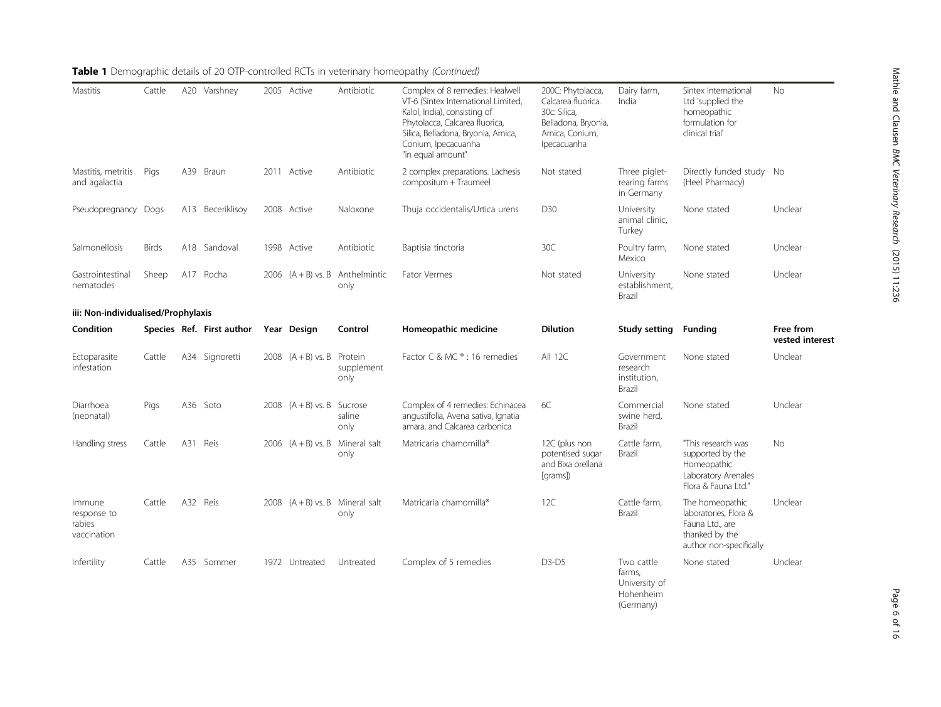| Mastitis                                       | Cattle       |     | A20 Varshney              | 2005 Active                  | Antibiotic                                | Complex of 8 remedies: Healwell<br>VT-6 (Sintex International Limited,<br>Kalol, India), consisting of<br>Phytolacca, Calcarea fluorica,<br>Silica, Belladona, Bryonia, Arnica,<br>Conium, Ipecacuanha<br>"in equal amount" | 200C: Phytolacca,<br>Calcarea fluorica.<br>30c: Silica,<br>Belladona, Bryonia,<br>Arnica, Conium,<br>Ipecacuanha | Dairy farm,<br>India                                            | Sintex International<br>Ltd 'supplied the<br>homeopathic<br>formulation for<br>clinical trial'           | No                           |
|------------------------------------------------|--------------|-----|---------------------------|------------------------------|-------------------------------------------|-----------------------------------------------------------------------------------------------------------------------------------------------------------------------------------------------------------------------------|------------------------------------------------------------------------------------------------------------------|-----------------------------------------------------------------|----------------------------------------------------------------------------------------------------------|------------------------------|
| Mastitis, metritis<br>and agalactia            | Pigs         | A39 | Braun                     | 2011 Active                  | Antibiotic                                | 2 complex preparations. Lachesis<br>compositum + Traumeel                                                                                                                                                                   | Not stated                                                                                                       | Three piglet-<br>rearing farms<br>in Germany                    | Directly funded study No<br>(Heel Pharmacy)                                                              |                              |
| Pseudopregnancy Dogs                           |              |     | A13 Beceriklisoy          | 2008 Active                  | Naloxone                                  | Thuja occidentalis/Urtica urens                                                                                                                                                                                             | D30                                                                                                              | University<br>animal clinic,<br>Turkey                          | None stated                                                                                              | Unclear                      |
| Salmonellosis                                  | <b>Birds</b> |     | A18 Sandoval              | 1998 Active                  | Antibiotic                                | Baptisia tinctoria                                                                                                                                                                                                          | 30C                                                                                                              | Poultry farm,<br>Mexico                                         | None stated                                                                                              | Unclear                      |
| Gastrointestinal<br>nematodes                  | Sheep        |     | A17 Rocha                 |                              | 2006 $(A + B)$ vs. B Anthelmintic<br>only | <b>Fator Vermes</b>                                                                                                                                                                                                         | Not stated                                                                                                       | University<br>establishment,<br>Brazil                          | None stated                                                                                              | Unclear                      |
| iii: Non-individualised/Prophylaxis            |              |     |                           |                              |                                           |                                                                                                                                                                                                                             |                                                                                                                  |                                                                 |                                                                                                          |                              |
| Condition                                      |              |     | Species Ref. First author | Year Design                  | Control                                   | Homeopathic medicine                                                                                                                                                                                                        | <b>Dilution</b>                                                                                                  | <b>Study setting</b>                                            | <b>Funding</b>                                                                                           | Free from<br>vested interest |
| Ectoparasite<br>infestation                    | Cattle       |     | A34 Signoretti            | 2008 $(A + B)$ vs. B Protein | supplement<br>only                        | Factor C & MC ® : 16 remedies                                                                                                                                                                                               | All 12C                                                                                                          | Government<br>research<br>institution,<br>Brazil                | None stated                                                                                              | Unclear                      |
| Diarrhoea<br>(neonatal)                        | Pigs         |     | A36 Soto                  | 2008 $(A + B)$ vs. B Sucrose | saline<br>only                            | Complex of 4 remedies: Echinacea<br>angustifolia, Avena sativa, Ignatia<br>amara, and Calcarea carbonica                                                                                                                    | 6C                                                                                                               | Commercial<br>swine herd,<br>Brazil                             | None stated                                                                                              | Unclear                      |
| Handling stress                                | Cattle       |     | A31 Reis                  |                              | 2006 $(A + B)$ vs. B Mineral salt<br>only | Matricaria chamomilla <sup>®</sup>                                                                                                                                                                                          | 12C (plus non<br>potentised sugar<br>and Bixa orellana<br>[grams])                                               | Cattle farm,<br>Brazil                                          | "This research was<br>supported by the<br>Homeopathic<br>Laboratory Arenales<br>Flora & Fauna Ltd."      | No.                          |
| Immune<br>response to<br>rabies<br>vaccination | Cattle       |     | A32 Reis                  |                              | 2008 $(A + B)$ vs. B Mineral salt<br>only | Matricaria chamomilla <sup>®</sup>                                                                                                                                                                                          | 12C                                                                                                              | Cattle farm,<br>Brazil                                          | The homeopathic<br>laboratories, Flora &<br>Fauna Ltd., are<br>thanked by the<br>author non-specifically | Unclear                      |
| Infertility                                    | Cattle       |     | A35 Sommer                | 1972 Untreated               | Untreated                                 | Complex of 5 remedies                                                                                                                                                                                                       | $D3-D5$                                                                                                          | Two cattle<br>farms,<br>University of<br>Hohenheim<br>(Germany) | None stated                                                                                              | Unclear                      |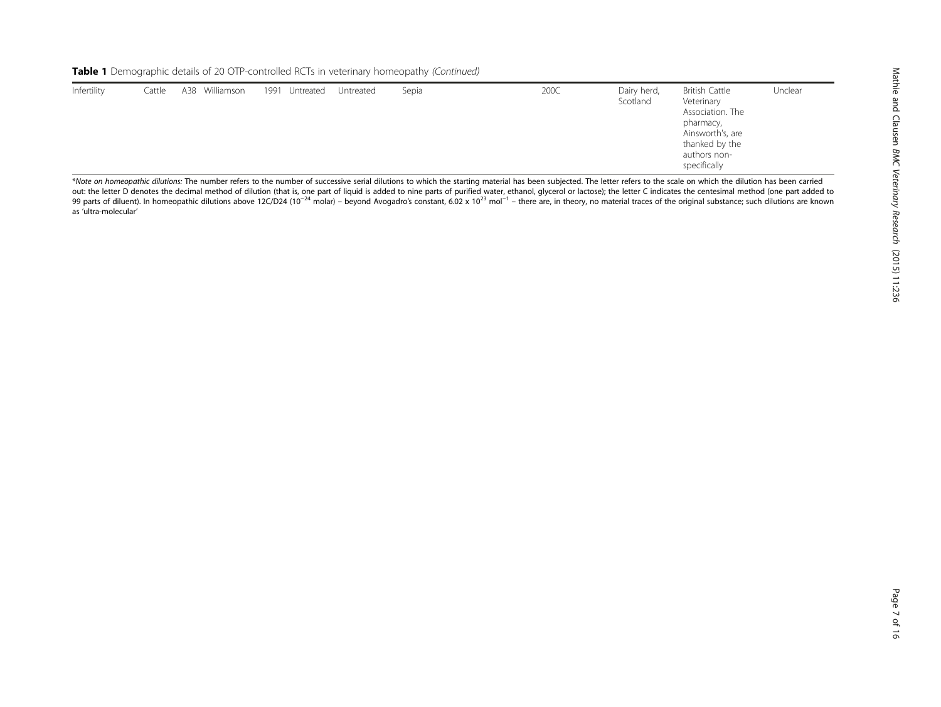| Infertility | Cattle | A38 Williamson | 1991 Untreated | Untreated | Sepia | 200C | Dairy herd,<br>Scotland | <b>British Cattle</b><br>Veterinary<br>Association. The<br>pharmacy,<br>Ainsworth's, are<br>thanked by the<br>authors non-<br>specifically | Unclear |
|-------------|--------|----------------|----------------|-----------|-------|------|-------------------------|--------------------------------------------------------------------------------------------------------------------------------------------|---------|
|             |        |                |                |           |       |      |                         |                                                                                                                                            |         |

\*Note on homeopathic dilutions: The number refers to the number of successive serial dilutions to which the starting material has been subjected. The letter refers to the scale on which the dilution has been carried out: the letter D denotes the decimal method of dilution (that is, one part of liquid is added to nine parts of purified water, ethanol, glycerol or lactose); the letter C indicates the centesimal method (one part added to 99 parts of diluent). In homeopathic dilutions above 12C/D24 (10<sup>-24</sup> molar) – beyond Avogadro's constant, 6.02 x 10<sup>23</sup> mol<sup>-1</sup> – there are, in theory, no material traces of the original substance; such dilutions are kno as 'ultra-molecular'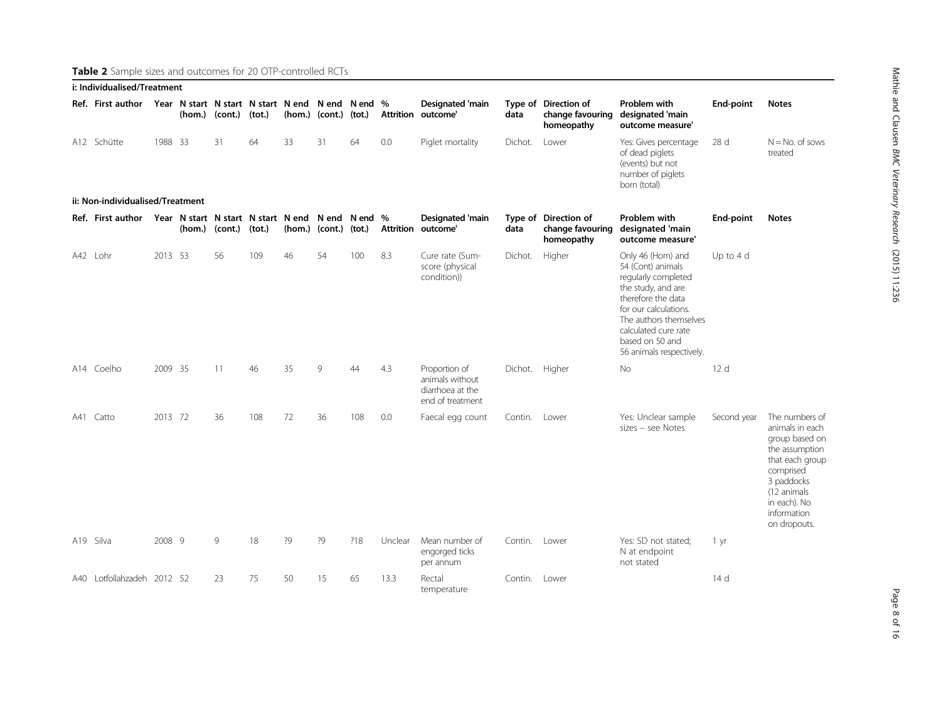<span id="page-7-0"></span>Table 2 Sample sizes and outcomes for 20 OTP-controlled RCTs

| i: Individualised/Treatment                                      |         |        |         |                                                            |    |                           |     |                          |                                                                          |                |                                                        |                                                                                                                                                                                                                                     |                 |                                                                                                                                                                                   |
|------------------------------------------------------------------|---------|--------|---------|------------------------------------------------------------|----|---------------------------|-----|--------------------------|--------------------------------------------------------------------------|----------------|--------------------------------------------------------|-------------------------------------------------------------------------------------------------------------------------------------------------------------------------------------------------------------------------------------|-----------------|-----------------------------------------------------------------------------------------------------------------------------------------------------------------------------------|
| Ref. First author                                                |         | (hom.) | (cont.) | Year N start N start N start N end N end N end %<br>(tot.) |    | (hom.) (cont.) (tot.)     |     | <b>Attrition</b>         | <b>Designated 'main</b><br>outcome'                                      | data           | Type of Direction of<br>change favouring<br>homeopathy | Problem with<br>designated 'main<br>outcome measure'                                                                                                                                                                                | End-point       | <b>Notes</b>                                                                                                                                                                      |
| A12 Schütte                                                      | 1988 33 |        | 31      | 64                                                         | 33 | 31                        | 64  | 0.0                      | Piglet mortality                                                         | Dichot.        | Lower                                                  | Yes: Gives percentage<br>of dead piglets<br>(events) but not<br>number of piglets<br>born (total)                                                                                                                                   | 28 <sub>d</sub> | $N = No$ . of sows<br>treated                                                                                                                                                     |
| ii: Non-individualised/Treatment                                 |         |        |         |                                                            |    |                           |     |                          |                                                                          |                |                                                        |                                                                                                                                                                                                                                     |                 |                                                                                                                                                                                   |
| Ref. First author Year N start N start N start N end N end N end |         | (hom.) | (cont.) | (tot.)                                                     |    | $(hom.)$ (cont.) $(tot.)$ |     | $\%$<br><b>Attrition</b> | <b>Designated 'main</b><br>outcome'                                      | data           | Type of Direction of<br>change favouring<br>homeopathy | Problem with<br>designated 'main<br>outcome measure'                                                                                                                                                                                | End-point       | <b>Notes</b>                                                                                                                                                                      |
| A42 Lohr                                                         | 2013 53 |        | 56      | 109                                                        | 46 | 54                        | 100 | 8.3                      | Cure rate (Sum-<br>score (physical<br>condition))                        | Dichot.        | Higher                                                 | Only 46 (Hom) and<br>54 (Cont) animals<br>regularly completed<br>the study, and are<br>therefore the data<br>for our calculations.<br>The authors themselves<br>calculated cure rate<br>based on 50 and<br>56 animals respectively. | Up to $4d$      |                                                                                                                                                                                   |
| A14 Coelho                                                       | 2009 35 |        | 11      | 46                                                         | 35 | 9                         | 44  | 4.3                      | Proportion of<br>animals without<br>diarrhoea at the<br>end of treatment | Dichot. Higher |                                                        | No                                                                                                                                                                                                                                  | 12 <sub>d</sub> |                                                                                                                                                                                   |
| A41 Catto                                                        | 2013 72 |        | 36      | 108                                                        | 72 | 36                        | 108 | 0.0                      | Faecal egg count                                                         | Contin.        | Lower                                                  | Yes: Unclear sample<br>sizes - see Notes                                                                                                                                                                                            | Second year     | The numbers of<br>animals in each<br>group based on<br>the assumption<br>that each group<br>comprised<br>3 paddocks<br>(12 animals<br>in each). No<br>information<br>on dropouts. |
| A19 Silva                                                        | 2008 9  |        | 9       | 18                                                         | ?9 | ?9                        | ?18 | Unclear                  | Mean number of<br>engorged ticks<br>per annum                            | Contin. Lower  |                                                        | Yes: SD not stated;<br>N at endpoint<br>not stated                                                                                                                                                                                  | 1 yr            |                                                                                                                                                                                   |
| A40 Lotfollahzadeh 2012 52                                       |         |        | 23      | 75                                                         | 50 | 15                        | 65  | 13.3                     | Rectal<br>temperature                                                    | Contin.        | Lower                                                  |                                                                                                                                                                                                                                     | 14 d            |                                                                                                                                                                                   |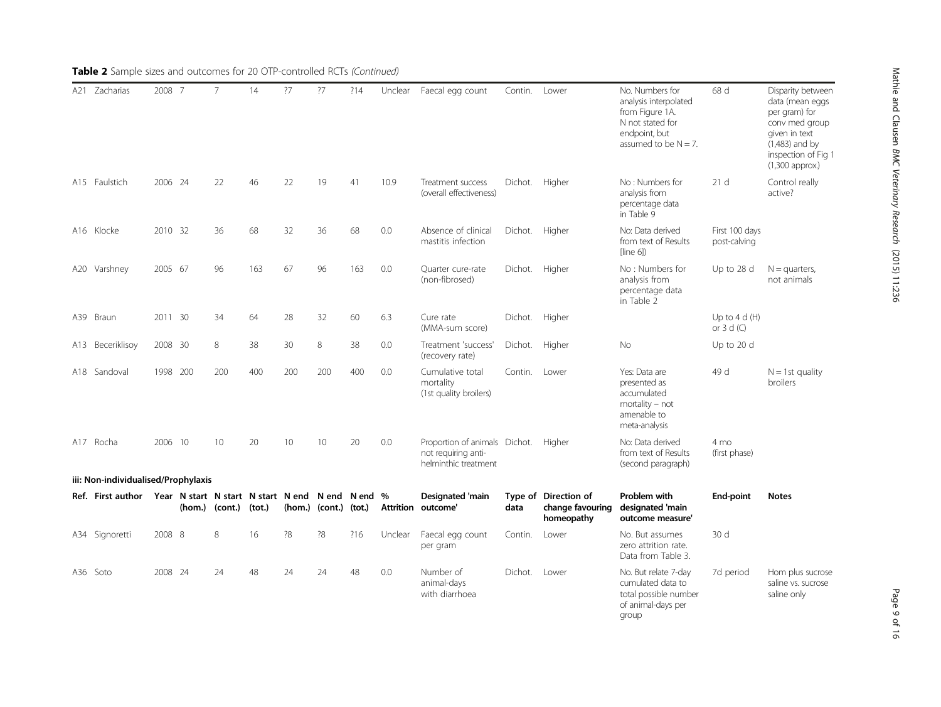| A21 | Zacharias                           | 2008 7   |    | 7                                                                  | 14     | ?7  | ?7                    | ?14 | Unclear   | Faecal egg count                                                                    | Contin.        | Lower                                                  | No. Numbers for<br>analysis interpolated<br>from Figure 1A.<br>N not stated for<br>endpoint, but<br>assumed to be $N = 7$ . | 68 d                           | Disparity between<br>data (mean eggs<br>per gram) for<br>conv med group<br>given in text<br>$(1,483)$ and by<br>inspection of Fig 1<br>$(1,300$ approx.) |
|-----|-------------------------------------|----------|----|--------------------------------------------------------------------|--------|-----|-----------------------|-----|-----------|-------------------------------------------------------------------------------------|----------------|--------------------------------------------------------|-----------------------------------------------------------------------------------------------------------------------------|--------------------------------|----------------------------------------------------------------------------------------------------------------------------------------------------------|
|     | A15 Faulstich                       | 2006 24  |    | 22                                                                 | 46     | 22  | 19                    | 41  | 10.9      | Treatment success<br>(overall effectiveness)                                        | Dichot. Higher |                                                        | No: Numbers for<br>analysis from<br>percentage data<br>in Table 9                                                           | 21 <sub>d</sub>                | Control really<br>active?                                                                                                                                |
|     | A16 Klocke                          | 2010 32  |    | 36                                                                 | 68     | 32  | 36                    | 68  | 0.0       | Absence of clinical<br>mastitis infection                                           | Dichot. Higher |                                                        | No: Data derived<br>from text of Results<br>[line 6]                                                                        | First 100 days<br>post-calving |                                                                                                                                                          |
|     | A20 Varshney                        | 2005 67  |    | 96                                                                 | 163    | 67  | 96                    | 163 | 0.0       | Ouarter cure-rate<br>(non-fibrosed)                                                 | Dichot. Higher |                                                        | No: Numbers for<br>analysis from<br>percentage data<br>in Table 2                                                           | Up to 28 d                     | $N =$ quarters,<br>not animals                                                                                                                           |
| A39 | Braun                               | 2011 30  |    | 34                                                                 | 64     | 28  | 32                    | 60  | 6.3       | Cure rate<br>(MMA-sum score)                                                        | Dichot. Higher |                                                        |                                                                                                                             | Up to $4 d(H)$<br>or $3 d (C)$ |                                                                                                                                                          |
|     | A13 Beceriklisov                    | 2008 30  |    | 8                                                                  | 38     | 30  | 8                     | 38  | 0.0       | Treatment 'success'<br>(recovery rate)                                              | Dichot.        | Higher                                                 | <b>No</b>                                                                                                                   | Up to 20 d                     |                                                                                                                                                          |
|     | A18 Sandoval                        | 1998 200 |    | 200                                                                | 400    | 200 | 200                   | 400 | 0.0       | Cumulative total<br>mortality<br>(1st quality broilers)                             | Contin.        | Lower                                                  | Yes: Data are<br>presented as<br>accumulated<br>$mortality - not$<br>amenable to<br>meta-analysis                           | 49 d                           | $N = 1$ st quality<br>broilers                                                                                                                           |
|     | A17 Rocha                           | 2006     | 10 | 10                                                                 | 20     | 10  | 10                    | 20  | 0.0       | Proportion of animals Dichot. Higher<br>not requiring anti-<br>helminthic treatment |                |                                                        | No: Data derived<br>from text of Results<br>(second paragraph)                                                              | 4 mo<br>(first phase)          |                                                                                                                                                          |
|     | iii: Non-individualised/Prophylaxis |          |    |                                                                    |        |     |                       |     |           |                                                                                     |                |                                                        |                                                                                                                             |                                |                                                                                                                                                          |
|     | Ref. First author                   |          |    | Year N start N start N start N end N end N end %<br>(hom.) (cont.) | (tot.) |     | (hom.) (cont.) (tot.) |     | Attrition | Designated 'main<br>outcome'                                                        | data           | Type of Direction of<br>change favouring<br>homeopathy | Problem with<br>designated 'main<br>outcome measure'                                                                        | End-point                      | <b>Notes</b>                                                                                                                                             |
|     | A34 Signoretti                      | 2008 8   |    | 8                                                                  | 16     | ?8  | ?8                    | ?16 | Unclear   | Faecal egg count<br>per gram                                                        | Contin.        | Lower                                                  | No. But assumes<br>zero attrition rate.<br>Data from Table 3.                                                               | 30 d                           |                                                                                                                                                          |
|     | A36 Soto                            | 2008 24  |    | 24                                                                 | 48     | 24  | 24                    | 48  | 0.0       | Number of<br>animal-days<br>with diarrhoea                                          | Dichot.        | Lower                                                  | No. But relate 7-day<br>cumulated data to<br>total possible number<br>of animal-days per<br>group                           | 7d period                      | Hom plus sucrose<br>saline vs. sucrose<br>saline only                                                                                                    |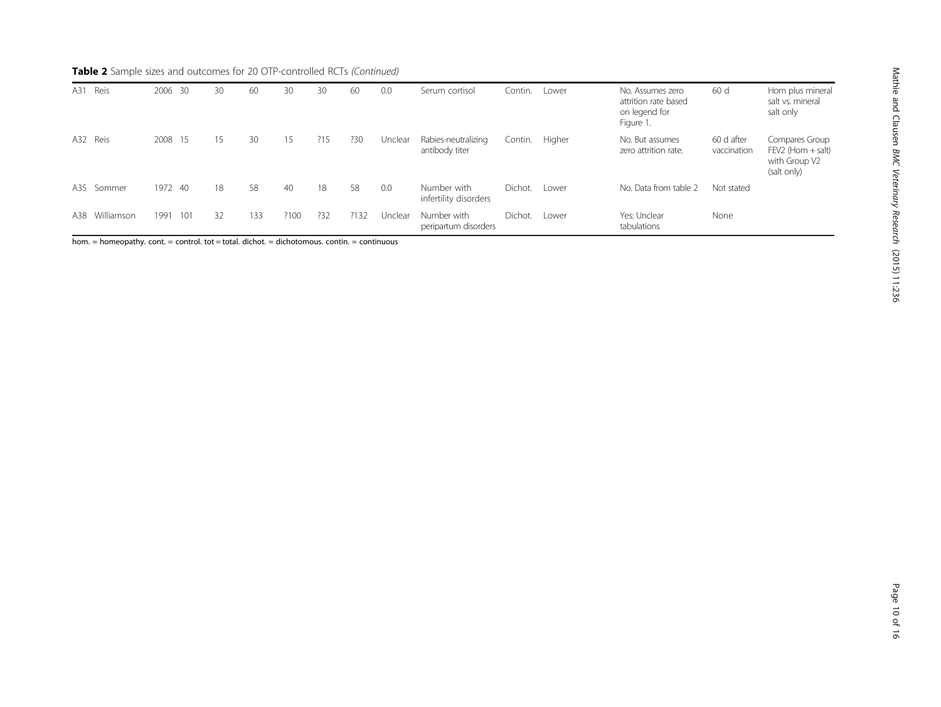| Reis<br>A31       | 2006 30     | 30 | 60  | 30   | 30  | 60   | 0.0     | Serum cortisol                        | Contin. | Lower  | No. Assumes zero<br>attrition rate based<br>on legend for<br>Figure 1. | 60 d                      | Hom plus mineral<br>salt vs. mineral<br>salt only                       |
|-------------------|-------------|----|-----|------|-----|------|---------|---------------------------------------|---------|--------|------------------------------------------------------------------------|---------------------------|-------------------------------------------------------------------------|
| A32 Reis          | 2008 15     | 15 | 30  | 15   | ?15 | ?30  | Unclear | Rabies-neutralizing<br>antibody titer | Contin. | Higher | No. But assumes<br>zero attrition rate.                                | 60 d after<br>vaccination | Compares Group<br>$FEV2$ (Hom $+$ salt)<br>with Group V2<br>(salt only) |
| A35 Sommer        | 1972 40     | 18 | 58  | 40   | 18  | 58   | 0.0     | Number with<br>infertility disorders  | Dichot. | Lower  | No. Data from table 2                                                  | Not stated                |                                                                         |
| Williamson<br>A38 | 1991<br>101 | 32 | 133 | ?100 | ?32 | ?132 | Unclear | Number with<br>peripartum disorders   | Dichot. | Lower  | Yes: Unclear<br>tabulations                                            | None                      |                                                                         |

hom. = homeopathy. cont. = control. tot = total. dichot. = dichotomous. contin. = continuous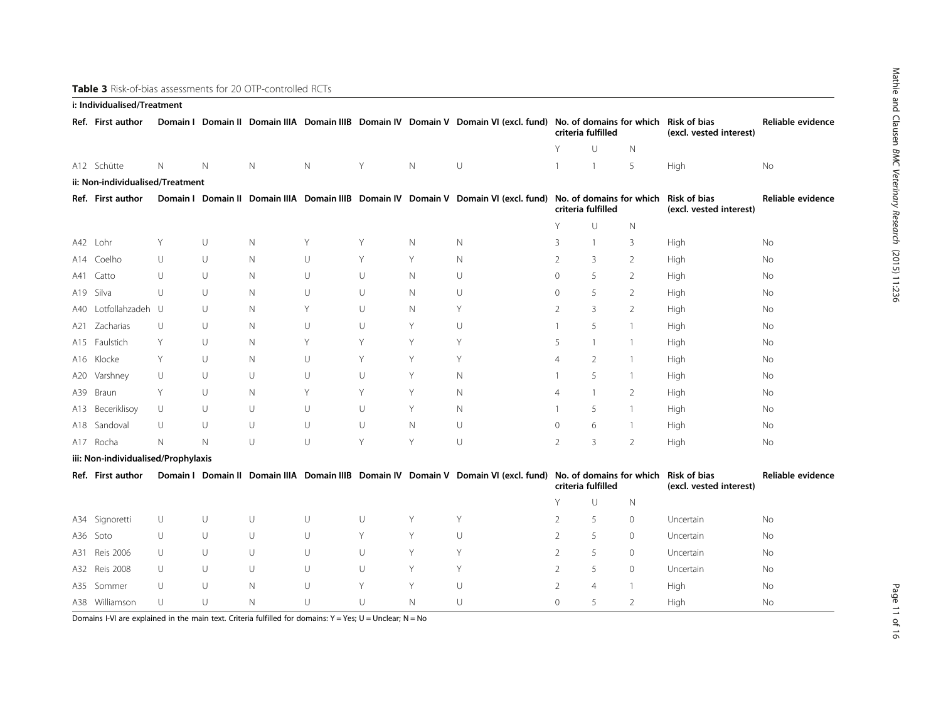Mathie and Clausen

BMC Veterinary Research

(2015) 11:236

## <span id="page-10-0"></span>Table 3 Risk-of-bias assessments for 20 OTP-controlled RCTs i: Individualised/Treatment

| i: individualised/Treatment |                                     |             |             |              |             |   |             |                                                                                                                            |                                                                                                                                                  |                    |                |                                                |                   |
|-----------------------------|-------------------------------------|-------------|-------------|--------------|-------------|---|-------------|----------------------------------------------------------------------------------------------------------------------------|--------------------------------------------------------------------------------------------------------------------------------------------------|--------------------|----------------|------------------------------------------------|-------------------|
|                             | Ref. First author                   |             |             |              |             |   |             |                                                                                                                            | Domain I Domain II Domain IIIA Domain IIIB Domain IV Domain V Domain VI (excl. fund) No. of domains for which Risk of bias<br>criteria fulfilled |                    |                | (excl. vested interest)                        | Reliable evidence |
|                             |                                     |             |             |              |             |   |             |                                                                                                                            | Y                                                                                                                                                | U                  | $\mathsf{N}$   |                                                |                   |
|                             | A12 Schütte                         | N           | $\mathbb N$ | N            | $\mathbb N$ | Y | $\mathbb N$ | U                                                                                                                          | $\overline{1}$                                                                                                                                   | $\overline{1}$     | 5              | High                                           | No                |
|                             | ii: Non-individualised/Treatment    |             |             |              |             |   |             |                                                                                                                            |                                                                                                                                                  |                    |                |                                                |                   |
|                             | Ref. First author                   |             |             |              |             |   |             | Domain   Domain II Domain IIIA Domain IIIB Domain IV Domain V Domain VI (excl. fund) No. of domains for which Risk of bias |                                                                                                                                                  | criteria fulfilled |                | (excl. vested interest)                        | Reliable evidence |
|                             |                                     |             |             |              |             |   |             |                                                                                                                            | Y                                                                                                                                                | $\cup$             | N              |                                                |                   |
|                             | A42 Lohr                            | Υ           | U           | $\mathsf{N}$ | Υ           | Y | $\mathbb N$ | N                                                                                                                          | 3                                                                                                                                                | $\mathbf{1}$       | 3              | High                                           | No                |
|                             | A14 Coelho                          | $\cup$      | U           | N            | U           | Y | Y           | N                                                                                                                          | 2                                                                                                                                                | 3                  | 2              | High                                           | No                |
| A41                         | Catto                               | $\cup$      | U           | N            | U           | U | $\mathbb N$ | U                                                                                                                          | $\mathbf{0}$<br>5<br>2                                                                                                                           |                    | High           | No                                             |                   |
| A19                         | Silva                               | U           | U           | N            | U           | U | $\mathbb N$ | U                                                                                                                          | 0                                                                                                                                                | 5                  | $\overline{2}$ | High                                           | No                |
| A40 -                       | Lotfollahzadeh U                    |             | $\cup$      | N            | Y           | U | $\mathbb N$ | Υ                                                                                                                          | $\overline{2}$                                                                                                                                   | 3                  | 2              | High                                           | No                |
| A21                         | Zacharias                           | $\cup$      | U           | N            | U           | U | Y           | U                                                                                                                          | $\mathbf{1}$                                                                                                                                     | 5                  | $\mathbf{1}$   | High                                           | No                |
|                             | A15 Faulstich                       | Y           | U           | N            | Υ           | Υ | Y           | Υ                                                                                                                          | 5                                                                                                                                                | 1                  | $\overline{1}$ | High                                           | No                |
|                             | A16 Klocke                          | Y           | U           | N            | U           | Υ | Y           | Y                                                                                                                          | $\overline{4}$                                                                                                                                   | $\overline{2}$     | -1             | High                                           | No                |
|                             | A20 Varshney                        | U           | $\cup$      | $\cup$       | U           | U | Y           | N                                                                                                                          | $\mathbf{1}$                                                                                                                                     | 5                  | $\overline{1}$ | High                                           | No                |
| A39                         | Braun                               | Y           | U           | N            | Y           | Y | Y           | N                                                                                                                          | $\overline{4}$                                                                                                                                   | $\mathbf{1}$       | 2              | High                                           | No                |
|                             | A13 Beceriklisoy                    | U           | $\cup$      | $\cup$       | U           | U | Y           | N.                                                                                                                         | $\mathbf{1}$                                                                                                                                     | 5                  | $\overline{1}$ | High                                           | No                |
| A18                         | Sandoval                            | U           | U           | U            | U           | U | $\mathbb N$ | U                                                                                                                          | $\circ$                                                                                                                                          | 6                  | $\overline{1}$ | High                                           | No                |
|                             | A17 Rocha                           | $\mathbb N$ | $\mathbb N$ | U            | U           | Y | Y           | U                                                                                                                          | $\overline{2}$                                                                                                                                   | 3                  | $\overline{2}$ | High                                           | No                |
|                             | iii: Non-individualised/Prophylaxis |             |             |              |             |   |             |                                                                                                                            |                                                                                                                                                  |                    |                |                                                |                   |
|                             | Ref. First author                   |             |             |              |             |   |             | Domain   Domain II Domain IIIA Domain IIIB Domain IV Domain V Domain VI (excl. fund) No. of domains for which              |                                                                                                                                                  | criteria fulfilled |                | <b>Risk of bias</b><br>(excl. vested interest) | Reliable evidence |
|                             |                                     |             |             |              |             |   |             |                                                                                                                            | Y                                                                                                                                                | U                  | $\mathsf{N}$   |                                                |                   |
|                             | A34 Signoretti                      | U           | U           | U            | U           | U | Y           | Y                                                                                                                          | $\overline{2}$                                                                                                                                   | 5                  | $\mathbf 0$    | Uncertain                                      | No                |
|                             | A36 Soto                            | U           | U           | U            | U           | Y | Y           | U                                                                                                                          | 2                                                                                                                                                | 5                  | 0              | Uncertain                                      | No                |
| A31                         | <b>Reis 2006</b>                    | U           | U           | U            | $\cup$      | U | Y           | Y                                                                                                                          | $\overline{2}$                                                                                                                                   | 5                  | $\mathbf{0}$   | Uncertain                                      | No                |
|                             | A32 Reis 2008                       | $\cup$      | U           | U            | U           | U | Y           | Y                                                                                                                          | $\overline{2}$                                                                                                                                   | 5                  | $\mathbf{0}$   | Uncertain                                      | No                |
|                             | A35 Sommer                          | U           | U           | N            | U           | Y | Y           | U                                                                                                                          | $\overline{2}$                                                                                                                                   | $\overline{4}$     | $\mathbf{1}$   | High                                           | No                |
|                             | A38 Williamson                      | U           | U           | $\mathsf{N}$ | U           | U | $\mathbb N$ | $\cup$                                                                                                                     | $\Omega$                                                                                                                                         | 5                  | 2              | High                                           | No                |

Domains I-VI are explained in the main text. Criteria fulfilled for domains:  $Y = Yes$ ;  $U = Unclear$ ;  $N = No$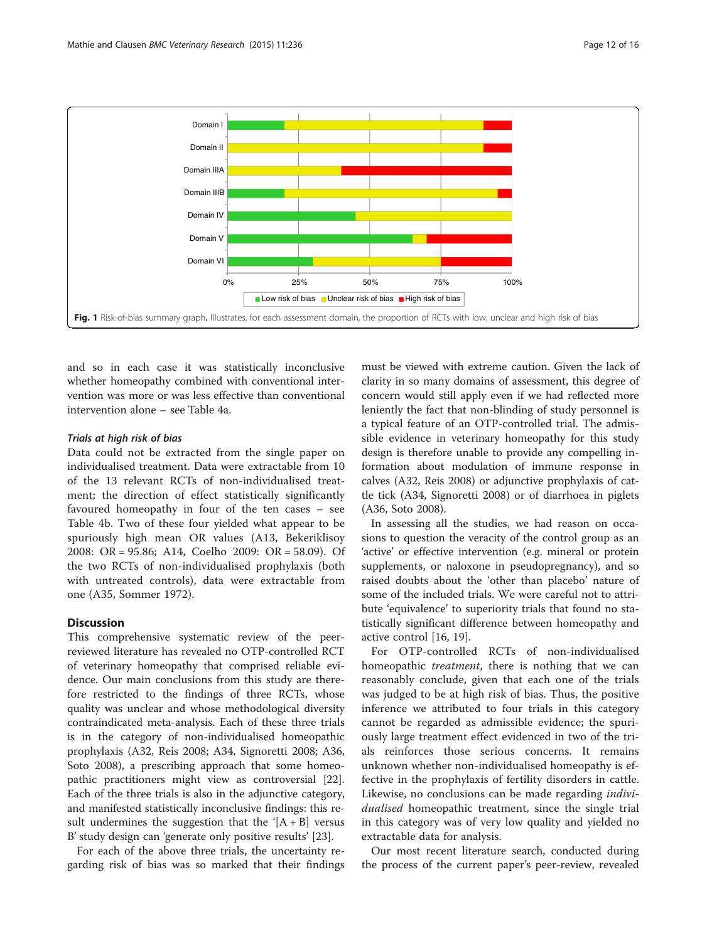<span id="page-11-0"></span>

and so in each case it was statistically inconclusive whether homeopathy combined with conventional intervention was more or was less effective than conventional intervention alone – see Table [4](#page-12-0)a.

#### Trials at high risk of bias

Data could not be extracted from the single paper on individualised treatment. Data were extractable from 10 of the 13 relevant RCTs of non-individualised treatment; the direction of effect statistically significantly favoured homeopathy in four of the ten cases – see Table [4b](#page-12-0). Two of these four yielded what appear to be spuriously high mean OR values (A13, Bekeriklisoy 2008: OR = 95.86; A14, Coelho 2009: OR = 58.09). Of the two RCTs of non-individualised prophylaxis (both with untreated controls), data were extractable from one (A35, Sommer 1972).

## **Discussion**

This comprehensive systematic review of the peerreviewed literature has revealed no OTP-controlled RCT of veterinary homeopathy that comprised reliable evidence. Our main conclusions from this study are therefore restricted to the findings of three RCTs, whose quality was unclear and whose methodological diversity contraindicated meta-analysis. Each of these three trials is in the category of non-individualised homeopathic prophylaxis (A32, Reis 2008; A34, Signoretti 2008; A36, Soto 2008), a prescribing approach that some homeopathic practitioners might view as controversial [\[22](#page-15-0)]. Each of the three trials is also in the adjunctive category, and manifested statistically inconclusive findings: this result undermines the suggestion that the ' $[A + B]$  versus B' study design can 'generate only positive results' [\[23\]](#page-15-0).

For each of the above three trials, the uncertainty regarding risk of bias was so marked that their findings

must be viewed with extreme caution. Given the lack of clarity in so many domains of assessment, this degree of concern would still apply even if we had reflected more leniently the fact that non-blinding of study personnel is a typical feature of an OTP-controlled trial. The admissible evidence in veterinary homeopathy for this study design is therefore unable to provide any compelling information about modulation of immune response in calves (A32, Reis 2008) or adjunctive prophylaxis of cattle tick (A34, Signoretti 2008) or of diarrhoea in piglets (A36, Soto 2008).

In assessing all the studies, we had reason on occasions to question the veracity of the control group as an 'active' or effective intervention (e.g. mineral or protein supplements, or naloxone in pseudopregnancy), and so raised doubts about the 'other than placebo' nature of some of the included trials. We were careful not to attribute 'equivalence' to superiority trials that found no statistically significant difference between homeopathy and active control [[16, 19](#page-14-0)].

For OTP-controlled RCTs of non-individualised homeopathic *treatment*, there is nothing that we can reasonably conclude, given that each one of the trials was judged to be at high risk of bias. Thus, the positive inference we attributed to four trials in this category cannot be regarded as admissible evidence; the spuriously large treatment effect evidenced in two of the trials reinforces those serious concerns. It remains unknown whether non-individualised homeopathy is effective in the prophylaxis of fertility disorders in cattle. Likewise, no conclusions can be made regarding individualised homeopathic treatment, since the single trial in this category was of very low quality and yielded no extractable data for analysis.

Our most recent literature search, conducted during the process of the current paper's peer-review, revealed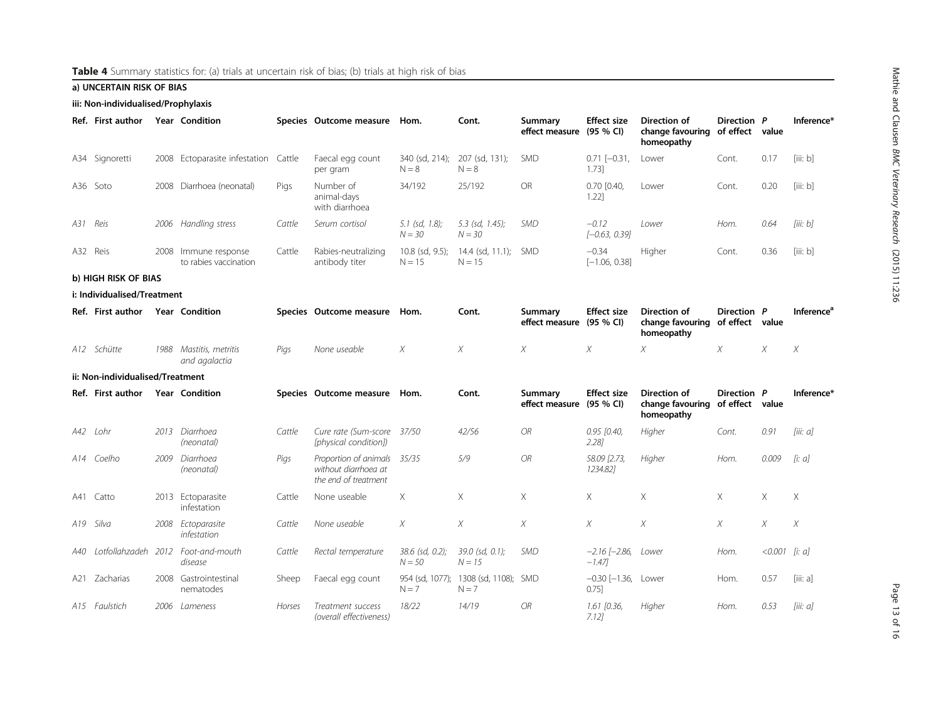## <span id="page-12-0"></span>a) UNCERTAIN RISK OF BIAS

iii: Non-individualised/Prophylaxis

|     | Ref. First author                |      | <b>Year Condition</b>                    |        | Species Outcome measure                                               | Hom.                          | Cont.                             | Summary<br>effect measure (95 % CI) | <b>Effect size</b>                    | Direction of<br>change favouring of effect value<br>homeopathy        | Direction P |          | Inference*                    |
|-----|----------------------------------|------|------------------------------------------|--------|-----------------------------------------------------------------------|-------------------------------|-----------------------------------|-------------------------------------|---------------------------------------|-----------------------------------------------------------------------|-------------|----------|-------------------------------|
| A34 | Signoretti                       | 2008 | Ectoparasite infestation                 | Cattle | Faecal egg count<br>per gram                                          | 340 (sd, 214);<br>$N = 8$     | 207 (sd, 131);<br>$N = 8$         | <b>SMD</b>                          | $0.71$ $[-0.31]$ ,<br>$1.73$ ]        | Lower                                                                 | Cont.       | 0.17     | [iii: b]                      |
| A36 | Soto                             | 2008 | Diarrhoea (neonatal)                     | Pigs   | Number of<br>animal-days<br>with diarrhoea                            | 34/192                        | 25/192                            | <b>OR</b>                           | $0.70$ $[0.40,$<br>1.22]              | Lower                                                                 | Cont.       | 0.20     | [iii: b]                      |
| A31 | Reis                             | 2006 | Handling stress                          | Cattle | Serum cortisol                                                        | $5.1$ (sd, 1.8);<br>$N = 30$  | $5.3$ (sd, 1.45);<br>$N = 30$     | <b>SMD</b>                          | $-0.12$<br>$[-0.63, 0.39]$            | Lower                                                                 | Hom.        | 0.64     | [iii: b]                      |
|     | A32 Reis                         | 2008 | Immune response<br>to rabies vaccination | Cattle | Rabies-neutralizing<br>antibody titer                                 | $10.8$ (sd, 9.5);<br>$N = 15$ | $14.4$ (sd, $11.1$ );<br>$N = 15$ | <b>SMD</b>                          | $-0.34$<br>$[-1.06, 0.38]$            | Higher                                                                | Cont.       | 0.36     | [iii:b]                       |
|     | b) HIGH RISK OF BIAS             |      |                                          |        |                                                                       |                               |                                   |                                     |                                       |                                                                       |             |          |                               |
|     | i: Individualised/Treatment      |      |                                          |        |                                                                       |                               |                                   |                                     |                                       |                                                                       |             |          |                               |
|     | Ref. First author                |      | <b>Year Condition</b>                    |        | Species Outcome measure                                               | Hom.                          | Cont.                             | Summary<br>effect measure (95 % CI) | <b>Effect size</b>                    | <b>Direction of</b><br>change favouring of effect value<br>homeopathy | Direction P |          | <b>Inference</b> <sup>a</sup> |
| A12 | Schütte                          | 1988 | Mastitis, metritis<br>and agalactia      | Pigs   | None useable                                                          | X                             | X                                 | X                                   | X                                     | X                                                                     | X           | X        | X                             |
|     | ii: Non-individualised/Treatment |      |                                          |        |                                                                       |                               |                                   |                                     |                                       |                                                                       |             |          |                               |
|     | Ref. First author                |      | <b>Year Condition</b>                    |        | Species Outcome measure                                               | Hom.                          | Cont.                             | Summary<br>effect measure (95 % CI) | <b>Effect size</b>                    | <b>Direction of</b><br>change favouring of effect value<br>homeopathy | Direction P |          | Inference*                    |
| A42 | Lohr                             | 2013 | Diarrhoea<br>(neonatal)                  | Cattle | Cure rate (Sum-score<br>[physical condition])                         | 37/50                         | 42/56                             | OR.                                 | $0.95$ [0.40,<br>$2.28$ ]             | Higher                                                                | Cont.       | 0.91     | liii: al                      |
| A14 | Coelho                           | 2009 | Diarrhoea<br>(neonatal)                  | Pigs   | Proportion of animals<br>without diarrhoea at<br>the end of treatment | 35/35                         | 5/9                               | OR.                                 | 58.09 [2.73,<br>1234.821              | Higher                                                                | Hom.        | 0.009    | [i: a]                        |
| A41 | Catto                            |      | 2013 Ectoparasite<br>infestation         | Cattle | None useable                                                          | X                             | X                                 | $\times$                            | X                                     | X                                                                     | $\times$    | $\times$ | X                             |
|     | A19 Silva                        |      | 2008 Ectoparasite<br>infestation         | Cattle | None useable                                                          | Χ                             | $\chi$                            | X                                   | X                                     | X                                                                     | X           | X        | X                             |
| A40 | Lotfollahzadeh                   |      | 2012 Foot-and-mouth<br>disease           | Cattle | Rectal temperature                                                    | 38.6 (sd, 0.2);<br>$N = 50$   | 39.0 (sd, 0.1);<br>$N = 15$       | <b>SMD</b>                          | $-2.16$ $[-2.86,$<br>$-1.47$          | Lower                                                                 | Hom.        | < 0.001  | [i: a]                        |
| A21 | Zacharias                        |      | 2008 Gastrointestinal<br>nematodes       | Sheep  | Faecal egg count                                                      | 954 (sd. 1077):<br>$N = 7$    | 1308 (sd, 1108); SMD<br>$N = 7$   |                                     | $-0.30$ [ $-1.36$ , Lower<br>$0.75$ ] |                                                                       | Hom.        | 0.57     | [iii: a]                      |
|     | A15 Faulstich                    |      | 2006 Lameness                            | Horses | Treatment success<br>(overall effectiveness)                          | 18/22                         | 14/19                             | OR.                                 | $1.61$ [0.36,<br>$7.12$ ]             | Higher                                                                | Hom.        | 0.53     | [iii: a]                      |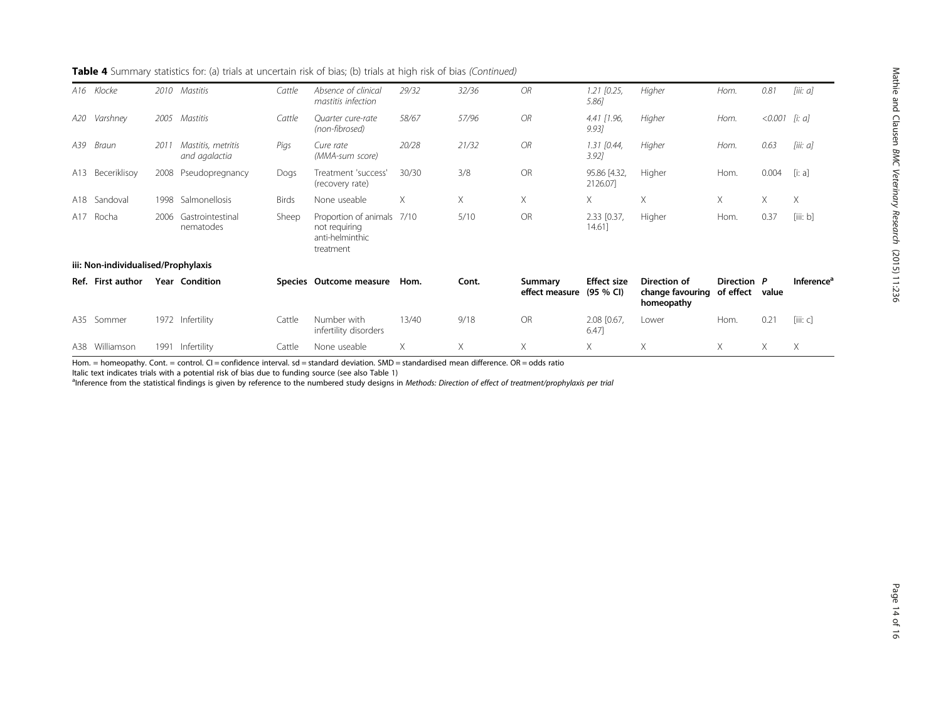|     | A16 Klocke                          | 2010 | Mastitis                            | Cattle | Absence of clinical<br>mastitis infection                              | 29/32 | 32/36 | <b>OR</b>                 | $1.21$ [0.25,<br>$5.86$ ]       | Higher                                         | Hom.                     | 0.81             | [iii: a]               |
|-----|-------------------------------------|------|-------------------------------------|--------|------------------------------------------------------------------------|-------|-------|---------------------------|---------------------------------|------------------------------------------------|--------------------------|------------------|------------------------|
| A20 | Varshney                            | 2005 | Mastitis                            | Cattle | Quarter cure-rate<br>(non-fibrosed)                                    | 58/67 | 57/96 | <b>OR</b>                 | $4.41$ $[1.96,$<br>9.93]        | Higher                                         | Hom.                     | $< 0.001$ [i: a] |                        |
| A39 | Braun                               | 2011 | Mastitis, metritis<br>and agalactia | Pigs   | Cure rate<br>(MMA-sum score)                                           | 20/28 | 21/32 | <b>OR</b>                 | $1.31$ [0.44,<br>$3.92$ ]       | Higher                                         | Hom.                     | 0.63             | [iii: a]               |
| A13 | Beceriklisoy                        | 2008 | Pseudopregnancy                     | Dogs   | Treatment 'success'<br>(recovery rate)                                 | 30/30 | 3/8   | <b>OR</b>                 | 95.86 [4.32,<br>2126.07         | Higher                                         | Hom.                     | 0.004            | [i: a]                 |
|     | A18 Sandoval                        | 1998 | Salmonellosis                       | Birds  | None useable                                                           | X     | X     | X                         | X.                              | X                                              | X                        | Χ                | X                      |
|     | A17 Rocha                           | 2006 | Gastrointestinal<br>nematodes       | Sheep  | Proportion of animals<br>not requiring<br>anti-helminthic<br>treatment | 7/10  | 5/10  | <b>OR</b>                 | 2.33 [0.37,<br>14.61]           | Higher                                         | Hom.                     | 0.37             | [iii: b]               |
|     | iii: Non-individualised/Prophylaxis |      |                                     |        |                                                                        |       |       |                           |                                 |                                                |                          |                  |                        |
|     | Ref. First author                   |      | <b>Year Condition</b>               |        | Species Outcome measure                                                | Hom.  | Cont. | Summary<br>effect measure | <b>Effect size</b><br>(95 % CI) | Direction of<br>change favouring<br>homeopathy | Direction P<br>of effect | value            | Inference <sup>®</sup> |
|     | A35 Sommer                          |      | 1972 Infertility                    | Cattle | Number with<br>infertility disorders                                   | 13/40 | 9/18  | <b>OR</b>                 | 2.08 [0.67,<br>6.47]            | Lower                                          | Hom.                     | 0.21             | [iii: c]               |
|     | A38 Williamson                      | 1991 | Infertility                         | Cattle | None useable                                                           | X     | X     | X                         | X                               | X                                              | X                        | X                | X                      |

Table 4 Summary statistics for: (a) trials at uncertain risk of bias; (b) trials at high risk of bias (Continued)

Hom. = homeopathy. Cont. = control. CI = confidence interval. sd = standard deviation. SMD = standardised mean difference. OR = odds ratio

Italic text indicates trials with a potential risk of bias due to funding source (see also Table [1\)](#page-4-0)

alnference from the statistical findings is given by reference to the numbered study designs in Methods: Direction of effect of treatment/prophylaxis per trial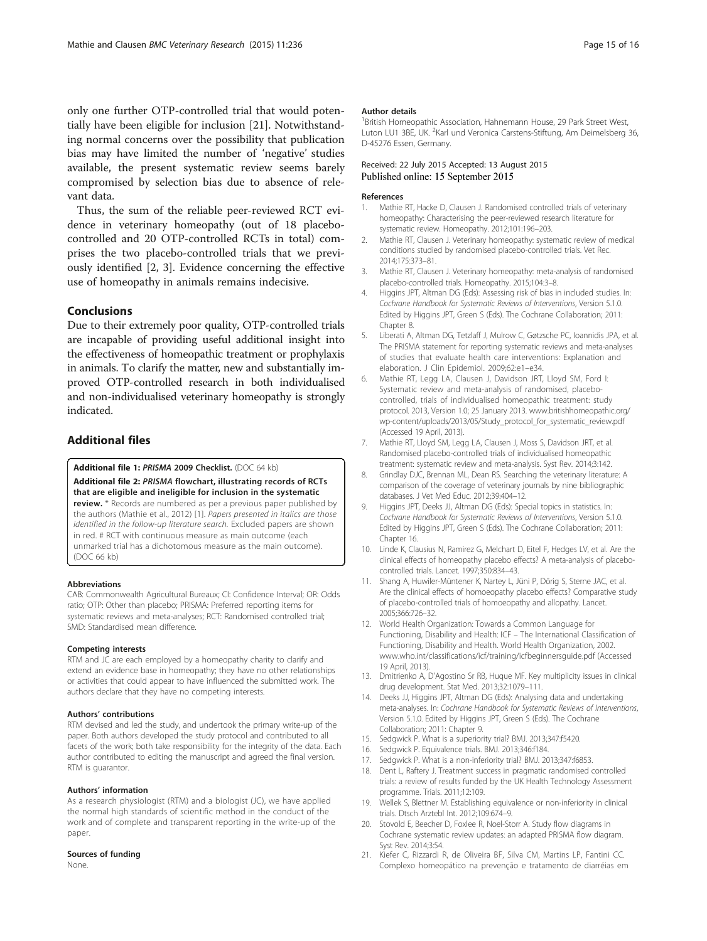<span id="page-14-0"></span>only one further OTP-controlled trial that would potentially have been eligible for inclusion [21]. Notwithstanding normal concerns over the possibility that publication bias may have limited the number of 'negative' studies available, the present systematic review seems barely compromised by selection bias due to absence of relevant data.

Thus, the sum of the reliable peer-reviewed RCT evidence in veterinary homeopathy (out of 18 placebocontrolled and 20 OTP-controlled RCTs in total) comprises the two placebo-controlled trials that we previously identified [2, 3]. Evidence concerning the effective use of homeopathy in animals remains indecisive.

## Conclusions

Due to their extremely poor quality, OTP-controlled trials are incapable of providing useful additional insight into the effectiveness of homeopathic treatment or prophylaxis in animals. To clarify the matter, new and substantially improved OTP-controlled research in both individualised and non-individualised veterinary homeopathy is strongly indicated.

## Additional files

[Additional file 1:](http://www.biomedcentral.com/content/supplementary/s12917-015-0542-2-s1.doc) PRISMA 2009 Checklist. (DOC 64 kb)

[Additional file 2:](http://www.biomedcentral.com/content/supplementary/s12917-015-0542-2-s2.doc) PRISMA flowchart, illustrating records of RCTs that are eligible and ineligible for inclusion in the systematic review. \* Records are numbered as per a previous paper published by the authors (Mathie et al., 2012) [1]. Papers presented in italics are those identified in the follow-up literature search. Excluded papers are shown in red. # RCT with continuous measure as main outcome (each unmarked trial has a dichotomous measure as the main outcome). (DOC 66 kb)

#### Abbreviations

CAB: Commonwealth Agricultural Bureaux; CI: Confidence Interval; OR: Odds ratio; OTP: Other than placebo; PRISMA: Preferred reporting items for systematic reviews and meta-analyses; RCT: Randomised controlled trial; SMD: Standardised mean difference.

#### Competing interests

RTM and JC are each employed by a homeopathy charity to clarify and extend an evidence base in homeopathy; they have no other relationships or activities that could appear to have influenced the submitted work. The authors declare that they have no competing interests.

#### Authors' contributions

RTM devised and led the study, and undertook the primary write-up of the paper. Both authors developed the study protocol and contributed to all facets of the work; both take responsibility for the integrity of the data. Each author contributed to editing the manuscript and agreed the final version. RTM is guarantor.

#### Authors' information

As a research physiologist (RTM) and a biologist (JC), we have applied the normal high standards of scientific method in the conduct of the work and of complete and transparent reporting in the write-up of the paper.

#### Sources of funding

None.

#### Author details

<sup>1</sup> British Homeopathic Association, Hahnemann House, 29 Park Street West, Luton LU1 3BE, UK. <sup>2</sup>Karl und Veronica Carstens-Stiftung, Am Deimelsberg 36 D-45276 Essen, Germany.

## Received: 22 July 2015 Accepted: 13 August 2015 Published online: 15 September 2015

#### References

- 1. Mathie RT, Hacke D, Clausen J. Randomised controlled trials of veterinary homeopathy: Characterising the peer-reviewed research literature for systematic review. Homeopathy. 2012;101:196–203.
- 2. Mathie RT, Clausen J. Veterinary homeopathy: systematic review of medical conditions studied by randomised placebo-controlled trials. Vet Rec. 2014;175:373–81.
- 3. Mathie RT, Clausen J. Veterinary homeopathy: meta-analysis of randomised placebo-controlled trials. Homeopathy. 2015;104:3–8.
- 4. Higgins JPT, Altman DG (Eds): Assessing risk of bias in included studies. In: Cochrane Handbook for Systematic Reviews of Interventions, Version 5.1.0. Edited by Higgins JPT, Green S (Eds). The Cochrane Collaboration; 2011: Chapter 8.
- 5. Liberati A, Altman DG, Tetzlaff J, Mulrow C, Gøtzsche PC, Ioannidis JPA, et al. The PRISMA statement for reporting systematic reviews and meta-analyses of studies that evaluate health care interventions: Explanation and elaboration. J Clin Epidemiol. 2009;62:e1–e34.
- 6. Mathie RT, Legg LA, Clausen J, Davidson JRT, Lloyd SM, Ford I: Systematic review and meta-analysis of randomised, placebocontrolled, trials of individualised homeopathic treatment: study protocol. 2013, Version 1.0; 25 January 2013. [www.britishhomeopathic.org/](http://www.britishhomeopathic.org/wp-content/uploads/2013/05/Study_protocol_for_systematic_review.pdf) [wp-content/uploads/2013/05/Study\\_protocol\\_for\\_systematic\\_review.pdf](http://www.britishhomeopathic.org/wp-content/uploads/2013/05/Study_protocol_for_systematic_review.pdf) (Accessed 19 April, 2013).
- 7. Mathie RT, Lloyd SM, Legg LA, Clausen J, Moss S, Davidson JRT, et al. Randomised placebo-controlled trials of individualised homeopathic treatment: systematic review and meta-analysis. Syst Rev. 2014;3:142.
- 8. Grindlay DJC, Brennan ML, Dean RS. Searching the veterinary literature: A comparison of the coverage of veterinary journals by nine bibliographic databases. J Vet Med Educ. 2012;39:404–12.
- 9. Higgins JPT, Deeks JJ, Altman DG (Eds): Special topics in statistics. In: Cochrane Handbook for Systematic Reviews of Interventions, Version 5.1.0. Edited by Higgins JPT, Green S (Eds). The Cochrane Collaboration; 2011: Chapter 16.
- 10. Linde K, Clausius N, Ramirez G, Melchart D, Eitel F, Hedges LV, et al. Are the clinical effects of homeopathy placebo effects? A meta-analysis of placebocontrolled trials. Lancet. 1997;350:834–43.
- 11. Shang A, Huwiler-Müntener K, Nartey L, Jüni P, Dörig S, Sterne JAC, et al. Are the clinical effects of homoeopathy placebo effects? Comparative study of placebo-controlled trials of homoeopathy and allopathy. Lancet. 2005;366:726–32.
- 12. World Health Organization: Towards a Common Language for Functioning, Disability and Health: ICF – The International Classification of Functioning, Disability and Health. World Health Organization, 2002. [www.who.int/classifications/icf/training/icfbeginnersguide.pdf](http://www.who.int/classifications/icf/training/icfbeginnersguide.pdf) (Accessed 19 April, 2013).
- 13. Dmitrienko A, D'Agostino Sr RB, Huque MF. Key multiplicity issues in clinical drug development. Stat Med. 2013;32:1079–111.
- 14. Deeks JJ, Higgins JPT, Altman DG (Eds): Analysing data and undertaking meta-analyses. In: Cochrane Handbook for Systematic Reviews of Interventions, Version 5.1.0. Edited by Higgins JPT, Green S (Eds). The Cochrane Collaboration; 2011: Chapter 9.
- 15. Sedgwick P. What is a superiority trial? BMJ. 2013;347:f5420.
- 16. Sedgwick P. Equivalence trials. BMJ. 2013;346:f184.
- 17. Sedgwick P. What is a non-inferiority trial? BMJ. 2013;347:f6853.
- 18. Dent L, Raftery J. Treatment success in pragmatic randomised controlled trials: a review of results funded by the UK Health Technology Assessment programme. Trials. 2011;12:109.
- 19. Wellek S, Blettner M. Establishing equivalence or non-inferiority in clinical trials. Dtsch Arztebl Int. 2012;109:674–9.
- 20. Stovold E, Beecher D, Foxlee R, Noel-Storr A. Study flow diagrams in Cochrane systematic review updates: an adapted PRISMA flow diagram. Syst Rev. 2014;3:54.
- 21. Kiefer C, Rizzardi R, de Oliveira BF, Silva CM, Martins LP, Fantini CC. Complexo homeopático na prevenção e tratamento de diarréias em